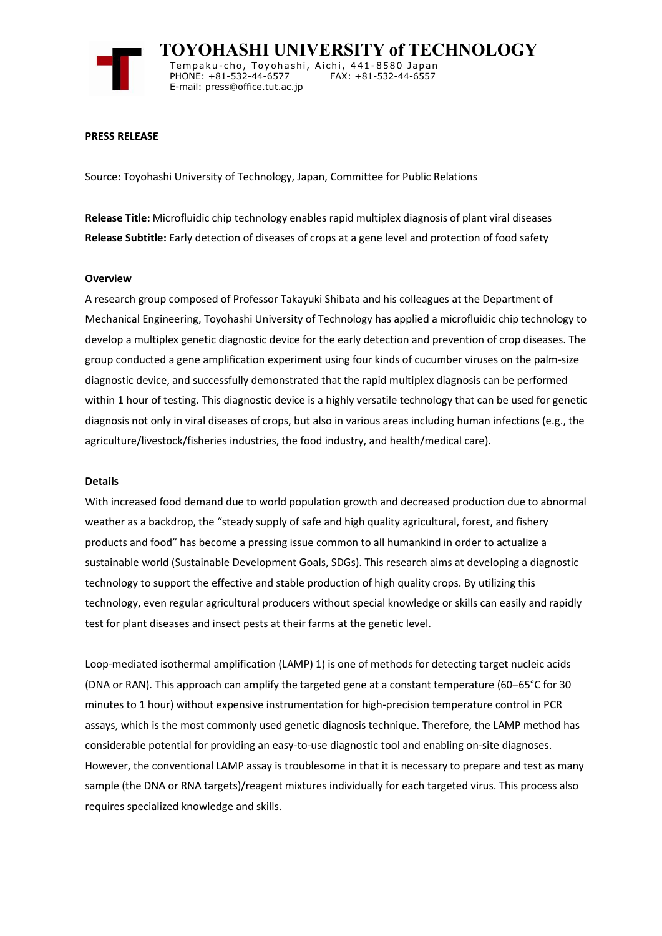

 **TOYOHASHI UNIVERSITY of TECHNOLOGY** Tempaku-cho, Toyohashi, Aichi, 441-8580 Japan<br>PHONE: +81-532-44-6577 FAX: +81-532-44-6557 PHONE: +81-532-44-6577 E-mail: press@office.tut.ac.jp

### **PRESS RELEASE**

Source: Toyohashi University of Technology, Japan, Committee for Public Relations

**Release Title:** Microfluidic chip technology enables rapid multiplex diagnosis of plant viral diseases **Release Subtitle:** Early detection of diseases of crops at a gene level and protection of food safety

### **Overview**

A research group composed of Professor Takayuki Shibata and his colleagues at the Department of Mechanical Engineering, Toyohashi University of Technology has applied a microfluidic chip technology to develop a multiplex genetic diagnostic device for the early detection and prevention of crop diseases. The group conducted a gene amplification experiment using four kinds of cucumber viruses on the palm-size diagnostic device, and successfully demonstrated that the rapid multiplex diagnosis can be performed within 1 hour of testing. This diagnostic device is a highly versatile technology that can be used for genetic diagnosis not only in viral diseases of crops, but also in various areas including human infections (e.g., the agriculture/livestock/fisheries industries, the food industry, and health/medical care).

#### **Details**

With increased food demand due to world population growth and decreased production due to abnormal weather as a backdrop, the "steady supply of safe and high quality agricultural, forest, and fishery products and food" has become a pressing issue common to all humankind in order to actualize a sustainable world (Sustainable Development Goals, SDGs). This research aims at developing a diagnostic technology to support the effective and stable production of high quality crops. By utilizing this technology, even regular agricultural producers without special knowledge or skills can easily and rapidly test for plant diseases and insect pests at their farms at the genetic level.

Loop-mediated isothermal amplification (LAMP) 1) is one of methods for detecting target nucleic acids (DNA or RAN). This approach can amplify the targeted gene at a constant temperature (60–65°C for 30 minutes to 1 hour) without expensive instrumentation for high-precision temperature control in PCR assays, which is the most commonly used genetic diagnosis technique. Therefore, the LAMP method has considerable potential for providing an easy-to-use diagnostic tool and enabling on-site diagnoses. However, the conventional LAMP assay is troublesome in that it is necessary to prepare and test as many sample (the DNA or RNA targets)/reagent mixtures individually for each targeted virus. This process also requires specialized knowledge and skills.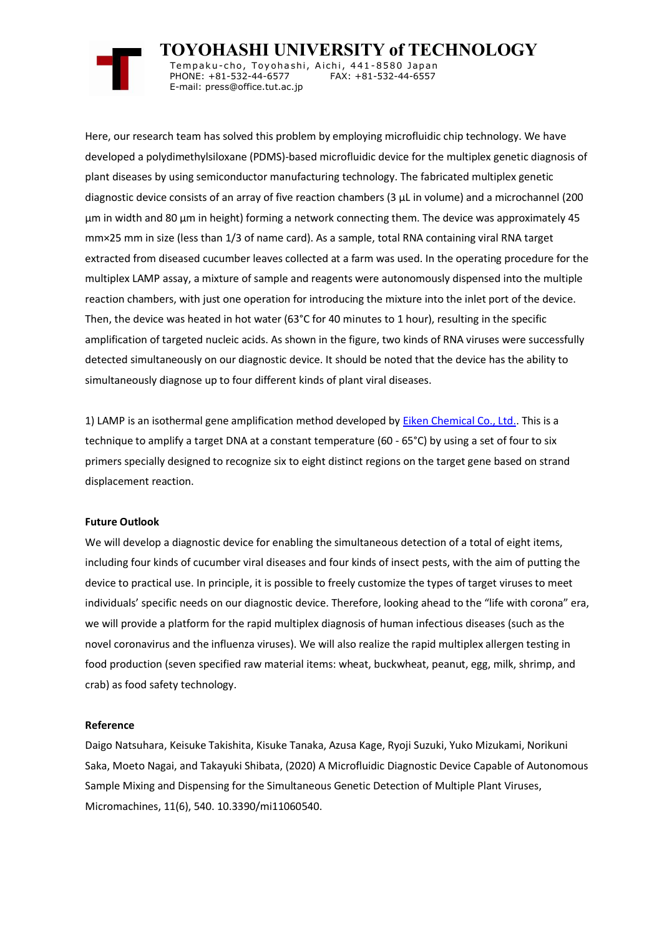

 **TOYOHASHI UNIVERSITY of TECHNOLOGY** Tempaku-cho, Toyohashi, Aichi, 441-8580 Japan<br>PHONE: +81-532-44-6577 FAX: +81-532-44-6557 PHONE: +81-532-44-6577 E-mail: press@office.tut.ac.jp

Here, our research team has solved this problem by employing microfluidic chip technology. We have developed a polydimethylsiloxane (PDMS)-based microfluidic device for the multiplex genetic diagnosis of plant diseases by using semiconductor manufacturing technology. The fabricated multiplex genetic diagnostic device consists of an array of five reaction chambers (3 µL in volume) and a microchannel (200 µm in width and 80 µm in height) forming a network connecting them. The device was approximately 45 mm×25 mm in size (less than 1/3 of name card). As a sample, total RNA containing viral RNA target extracted from diseased cucumber leaves collected at a farm was used. In the operating procedure for the multiplex LAMP assay, a mixture of sample and reagents were autonomously dispensed into the multiple reaction chambers, with just one operation for introducing the mixture into the inlet port of the device. Then, the device was heated in hot water (63°C for 40 minutes to 1 hour), resulting in the specific amplification of targeted nucleic acids. As shown in the figure, two kinds of RNA viruses were successfully detected simultaneously on our diagnostic device. It should be noted that the device has the ability to simultaneously diagnose up to four different kinds of plant viral diseases.

1) LAMP is an isothermal gene amplification method developed by [Eiken Chemical Co., Ltd..](https://www.eiken.co.jp/) This is a technique to amplify a target DNA at a constant temperature (60 - 65°C) by using a set of four to six primers specially designed to recognize six to eight distinct regions on the target gene based on strand displacement reaction.

## **Future Outlook**

We will develop a diagnostic device for enabling the simultaneous detection of a total of eight items, including four kinds of cucumber viral diseases and four kinds of insect pests, with the aim of putting the device to practical use. In principle, it is possible to freely customize the types of target viruses to meet individuals' specific needs on our diagnostic device. Therefore, looking ahead to the "life with corona" era, we will provide a platform for the rapid multiplex diagnosis of human infectious diseases (such as the novel coronavirus and the influenza viruses). We will also realize the rapid multiplex allergen testing in food production (seven specified raw material items: wheat, buckwheat, peanut, egg, milk, shrimp, and crab) as food safety technology.

### **Reference**

Daigo Natsuhara, Keisuke Takishita, Kisuke Tanaka, Azusa Kage, Ryoji Suzuki, Yuko Mizukami, Norikuni Saka, Moeto Nagai, and Takayuki Shibata, (2020) A Microfluidic Diagnostic Device Capable of Autonomous Sample Mixing and Dispensing for the Simultaneous Genetic Detection of Multiple Plant Viruses, Micromachines, 11(6), 540. 10.3390/mi11060540.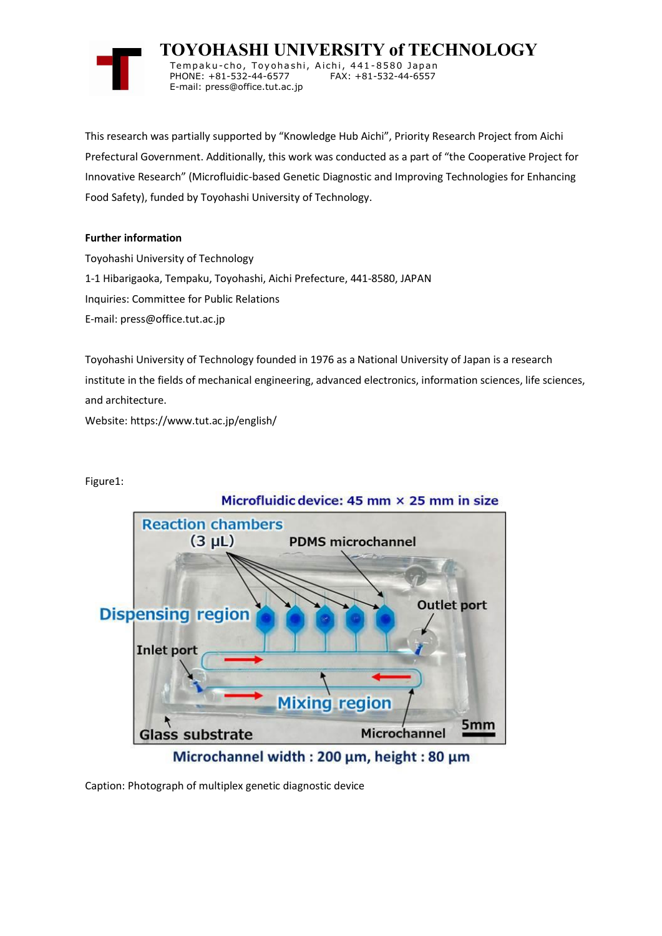

 **TOYOHASHI UNIVERSITY of TECHNOLOGY** Temp a k u-c h o , To y oh a shi , A i ch i , 4 41-858 0 Ja p an PHONE: +81-532-44-6577 E-mail: press@office.tut.ac.jp

This research was partially supported by "Knowledge Hub Aichi", Priority Research Project from Aichi Prefectural Government. Additionally, this work was conducted as a part of "the Cooperative Project for Innovative Research" (Microfluidic-based Genetic Diagnostic and Improving Technologies for Enhancing Food Safety), funded by Toyohashi University of Technology.

# **Further information**

Toyohashi University of Technology 1-1 Hibarigaoka, Tempaku, Toyohashi, Aichi Prefecture, 441-8580, JAPAN Inquiries: Committee for Public Relations E-mail: press@office.tut.ac.jp

Toyohashi University of Technology founded in 1976 as a National University of Japan is a research institute in the fields of mechanical engineering, advanced electronics, information sciences, life sciences, and architecture.

Website: https://www.tut.ac.jp/english/

Figure1:



Microchannel width: 200 µm, height: 80 µm

Caption: Photograph of multiplex genetic diagnostic device